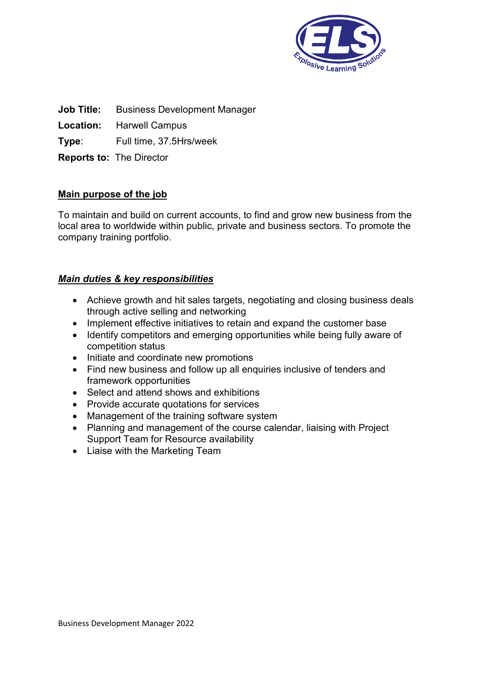

**Job Title:** Business Development Manager

**Location:** Harwell Campus

**Type**: Full time, 37.5Hrs/week

**Reports to:** The Director

# **Main purpose of the job**

To maintain and build on current accounts, to find and grow new business from the local area to worldwide within public, private and business sectors. To promote the company training portfolio.

# *Main duties & key responsibilities*

- Achieve growth and hit sales targets, negotiating and closing business deals through active selling and networking
- Implement effective initiatives to retain and expand the customer base
- Identify competitors and emerging opportunities while being fully aware of competition status
- Initiate and coordinate new promotions
- Find new business and follow up all enquiries inclusive of tenders and framework opportunities
- Select and attend shows and exhibitions
- Provide accurate quotations for services
- Management of the training software system
- Planning and management of the course calendar, liaising with Project Support Team for Resource availability
- Liaise with the Marketing Team